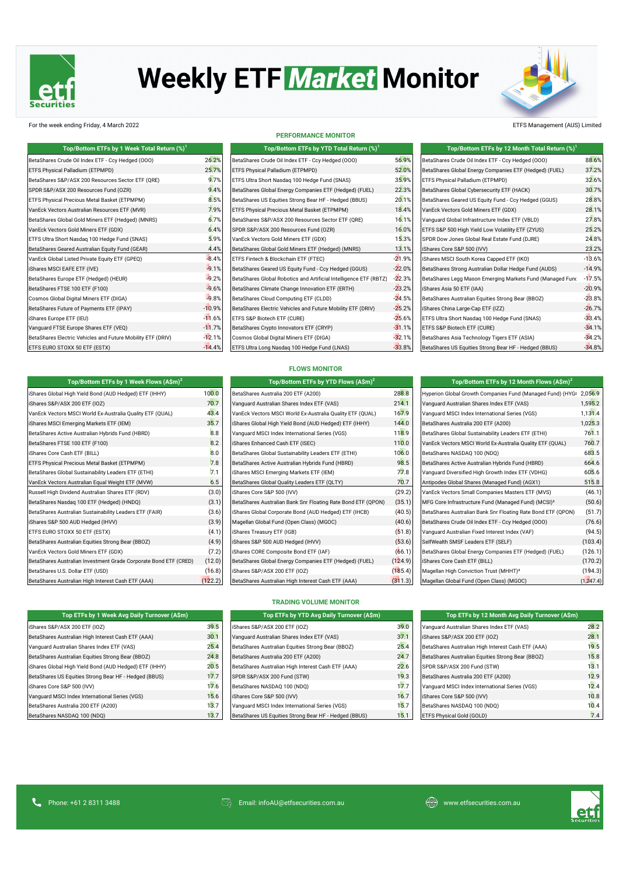

# **Weekly ETF Market Monitor**



#### For the week ending Friday, 4 March 2022 ETFS Management (AUS) Limited

| Top/Bottom ETFs by 1 Week Total Return (%) <sup>1</sup>     |          | Top/Bottom ETFs by YTD Total Return (%) <sup>1</sup>              |          | Top/Bottom ETFs by 12 Month Total Return $(\%)^1$         |          |
|-------------------------------------------------------------|----------|-------------------------------------------------------------------|----------|-----------------------------------------------------------|----------|
| BetaShares Crude Oil Index ETF - Ccy Hedged (000)           | 26.2%    | BetaShares Crude Oil Index ETF - Ccy Hedged (000)                 | 56.9%    | BetaShares Crude Oil Index ETF - Ccy Hedged (000)         | 88.6%    |
| ETFS Physical Palladium (ETPMPD)                            | 25.7%    | ETFS Physical Palladium (ETPMPD)                                  | 52.0%    | BetaShares Global Energy Companies ETF (Hedged) (FUEL)    | 37.2%    |
| BetaShares S&P/ASX 200 Resources Sector ETF (QRE)           | 9.7%     | ETFS Ultra Short Nasdag 100 Hedge Fund (SNAS)                     | 35.9%    | ETFS Physical Palladium (ETPMPD)                          | 32.6%    |
| SPDR S&P/ASX 200 Resources Fund (OZR)                       | 9.4%     | BetaShares Global Energy Companies ETF (Hedged) (FUEL)            | 22.3%    | BetaShares Global Cybersecurity ETF (HACK)                | 30.7%    |
| ETFS Physical Precious Metal Basket (ETPMPM)                | 8.5%     | BetaShares US Equities Strong Bear HF - Hedged (BBUS)             | 20.1%    | BetaShares Geared US Equity Fund - Ccy Hedged (GGUS)      | 28.8%    |
| VanEck Vectors Australian Resources ETF (MVR)               | 7.9%     | <b>ETFS Physical Precious Metal Basket (ETPMPM)</b>               | 18.4%    | VanEck Vectors Gold Miners ETF (GDX)                      | 28.1%    |
| BetaShares Global Gold Miners ETF (Hedged) (MNRS)           | 6.7%     | BetaShares S&P/ASX 200 Resources Sector ETF (QRE)                 | 16.1%    | Vanguard Global Infrastructure Index ETF (VBLD)           | 27.8%    |
| VanEck Vectors Gold Miners ETF (GDX)                        | 6.4%     | SPDR S&P/ASX 200 Resources Fund (OZR)                             | 16.0%    | ETFS S&P 500 High Yield Low Volatility ETF (ZYUS)         | 25.2%    |
| ETFS Ultra Short Nasdag 100 Hedge Fund (SNAS)               | 5.9%     | VanEck Vectors Gold Miners ETF (GDX)                              | 15.3%    | SPDR Dow Jones Global Real Estate Fund (DJRE)             | 24.8%    |
| BetaShares Geared Australian Equity Fund (GEAR)             | 4.4%     | BetaShares Global Gold Miners ETF (Hedged) (MNRS)                 | 13.1%    | iShares Core S&P 500 (IVV)                                | 23.2%    |
| VanEck Global Listed Private Equity ETF (GPEQ)              | $-8.4%$  | ETFS Fintech & Blockchain ETF (FTEC)                              | $-21.9%$ | iShares MSCI South Korea Capped ETF (IKO)                 | $-13.6%$ |
| iShares MSCI EAFE ETF (IVE)                                 | $-9.1%$  | BetaShares Geared US Equity Fund - Ccy Hedged (GGUS)              | $-22.0%$ | BetaShares Strong Australian Dollar Hedge Fund (AUDS)     | $-14.9%$ |
| BetaShares Europe ETF (Hedged) (HEUR)                       | $-9.2%$  | BetaShares Global Robotics and Artificial Intelligence ETF (RBTZ) | $-22.3%$ | BetaShares Legg Mason Emerging Markets Fund (Managed Func | $-17.5%$ |
| BetaShares FTSE 100 ETF (F100)                              | $-9.6%$  | BetaShares Climate Change Innovation ETF (ERTH)                   | $-23.2%$ | iShares Asia 50 ETF (IAA)                                 | $-20.9%$ |
| Cosmos Global Digital Miners ETF (DIGA)                     | $-9.8%$  | BetaShares Cloud Computing ETF (CLDD)                             | $-24.5%$ | BetaShares Australian Equities Strong Bear (BBOZ)         | $-23.8%$ |
| BetaShares Future of Payments ETF (IPAY)                    | $-10.9%$ | BetaShares Electric Vehicles and Future Mobility ETF (DRIV)       | $-25.2%$ | iShares China Large-Cap ETF (IZZ)                         | $-26.7%$ |
| iShares Europe ETF (IEU)                                    | $-11.6%$ | ETFS S&P Biotech ETF (CURE)                                       | $-25.6%$ | ETFS Ultra Short Nasdaq 100 Hedge Fund (SNAS)             | $-33.4%$ |
| Vanquard FTSE Europe Shares ETF (VEQ)                       | $-11.7%$ | BetaShares Crypto Innovators ETF (CRYP)                           | $-31.1%$ | ETFS S&P Biotech ETF (CURE)                               | $-34.1%$ |
| BetaShares Electric Vehicles and Future Mobility ETF (DRIV) | $-12.1%$ | Cosmos Global Digital Miners ETF (DIGA)                           | $-32.1%$ | BetaShares Asia Technology Tigers ETF (ASIA)              | $-34.2%$ |
| ETFS EURO STOXX 50 ETF (ESTX)                               | $-14.4%$ | ETFS Ultra Long Nasdaq 100 Hedge Fund (LNAS)                      | $-33.8%$ | BetaShares US Equities Strong Bear HF - Hedged (BBUS)     | $-34.8%$ |

|  | <b>PERFORMANCE MONITOR</b> |  |
|--|----------------------------|--|
|  |                            |  |

| Top/Bottom ETFs by 1 Week Total Return $\left(\%\right)^{1}$ |          | Top/Bottom ETFs by YTD Total Return (%) <sup>1</sup>              |          | Top/Bottom ETFs by 12 Month Total Return (%)              |
|--------------------------------------------------------------|----------|-------------------------------------------------------------------|----------|-----------------------------------------------------------|
| ude Oil Index ETF - Ccy Hedged (OOO)                         | 26.2%    | BetaShares Crude Oil Index ETF - Ccy Hedged (000)                 | 56.9%    | BetaShares Crude Oil Index ETF - Ccy Hedged (000)         |
| Palladium (ETPMPD)                                           | 25.7%    | ETFS Physical Palladium (ETPMPD)                                  | 52.0%    | BetaShares Global Energy Companies ETF (Hedged) (FUEL)    |
| P/ASX 200 Resources Sector ETF (QRE)                         | 9.7%     | ETFS Ultra Short Nasdag 100 Hedge Fund (SNAS)                     | 35.9%    | ETFS Physical Palladium (ETPMPD)                          |
| X 200 Resources Fund (OZR)                                   | 9.4%     | BetaShares Global Energy Companies ETF (Hedged) (FUEL)            | 22.3%    | BetaShares Global Cybersecurity ETF (HACK)                |
| Precious Metal Basket (ETPMPM)                               | 8.5%     | BetaShares US Equities Strong Bear HF - Hedged (BBUS)             | 20.1%    | BetaShares Geared US Equity Fund - Ccy Hedged (GGUS)      |
| 's Australian Resources ETF (MVR)                            | 7.9%     | ETFS Physical Precious Metal Basket (ETPMPM)                      | 18.4%    | VanEck Vectors Gold Miners ETF (GDX)                      |
| obal Gold Miners ETF (Hedged) (MNRS)                         | 6.7%     | BetaShares S&P/ASX 200 Resources Sector ETF (QRE)                 | 16.1%    | Vanquard Global Infrastructure Index ETF (VBLD)           |
| s Gold Miners ETF (GDX)                                      | 6.4%     | SPDR S&P/ASX 200 Resources Fund (OZR)                             | 16.0%    | ETFS S&P 500 High Yield Low Volatility ETF (ZYUS)         |
| ort Nasdag 100 Hedge Fund (SNAS)                             | 5.9%     | VanEck Vectors Gold Miners ETF (GDX)                              | 15.3%    | SPDR Dow Jones Global Real Estate Fund (DJRE)             |
| eared Australian Equity Fund (GEAR)                          | 4.4%     | BetaShares Global Gold Miners ETF (Hedged) (MNRS)                 | 13.1%    | iShares Core S&P 500 (IVV)                                |
| Listed Private Equity ETF (GPEQ)                             | $-8.4%$  | ETFS Fintech & Blockchain ETF (FTEC)                              | $-21.9%$ | iShares MSCI South Korea Capped ETF (IKO)                 |
| EAFE ETF (IVE)                                               | $-9.1%$  | BetaShares Geared US Equity Fund - Ccy Hedged (GGUS)              | $-22.0%$ | BetaShares Strong Australian Dollar Hedge Fund (AUDS)     |
| rope ETF (Hedged) (HEUR)                                     | $-9.2%$  | BetaShares Global Robotics and Artificial Intelligence ETF (RBTZ) | $-22.3%$ | BetaShares Legg Mason Emerging Markets Fund (Managed Fund |
| SE 100 ETF (F100)                                            | $-9.6%$  | BetaShares Climate Change Innovation ETF (ERTH)                   | $-23.2%$ | iShares Asia 50 ETF (IAA)                                 |
| I Digital Miners ETF (DIGA)                                  | $-9.8%$  | BetaShares Cloud Computing ETF (CLDD)                             | $-24.5%$ | BetaShares Australian Equities Strong Bear (BBOZ)         |
| ture of Payments ETF (IPAY)                                  | $-10.9%$ | BetaShares Electric Vehicles and Future Mobility ETF (DRIV)       | $-25.2%$ | iShares China Large-Cap ETF (IZZ)                         |
| e ETF (IEU)                                                  | $-11.6%$ | ETFS S&P Biotech ETF (CURE)                                       | $-25.6%$ | ETFS Ultra Short Nasdag 100 Hedge Fund (SNAS)             |
| E Europe Shares ETF (VEQ)                                    | $-11.7%$ | BetaShares Crypto Innovators ETF (CRYP)                           | $-31.1%$ | ETFS S&P Biotech ETF (CURE)                               |
| ectric Vehicles and Future Mobility ETF (DRIV)               | $-12.1%$ | Cosmos Global Digital Miners ETF (DIGA)                           | $-32.1%$ | BetaShares Asia Technology Tigers ETF (ASIA)              |
| OXX 50 ETF (ESTX)                                            | $-14.4%$ | ETFS Ultra Long Nasdag 100 Hedge Fund (LNAS)                      | $-33.8%$ | BetaShares US Equities Strong Bear HF - Hedged (BBUS)     |
|                                                              |          |                                                                   |          |                                                           |

| Top/Bottom ETFs by 12 Month Total Return $(\%)^1$         |          |
|-----------------------------------------------------------|----------|
| BetaShares Crude Oil Index ETF - Ccy Hedged (000)         | 88.6%    |
| BetaShares Global Energy Companies ETF (Hedged) (FUEL)    | 37.2%    |
| ETFS Physical Palladium (ETPMPD)                          | 32.6%    |
| BetaShares Global Cybersecurity ETF (HACK)                | 30.7%    |
| BetaShares Geared US Equity Fund - Ccy Hedged (GGUS)      | 28.8%    |
| VanEck Vectors Gold Miners ETF (GDX)                      | 28.1%    |
| Vanquard Global Infrastructure Index ETF (VBLD)           | 27.8%    |
| ETFS S&P 500 High Yield Low Volatility ETF (ZYUS)         | 25.2%    |
| SPDR Dow Jones Global Real Estate Fund (DJRE)             | 24.8%    |
| iShares Core S&P 500 (IVV)                                | 23.2%    |
| iShares MSCI South Korea Capped ETF (IKO)                 | $-13.6%$ |
| BetaShares Strong Australian Dollar Hedge Fund (AUDS)     | $-14.9%$ |
| BetaShares Legg Mason Emerging Markets Fund (Managed Func | $-17.5%$ |
| iShares Asia 50 ETF (IAA)                                 | $-20.9%$ |
| BetaShares Australian Equities Strong Bear (BBOZ)         | $-23.8%$ |
| iShares China Large-Cap ETF (IZZ)                         | $-26.7%$ |
| ETFS Ultra Short Nasdag 100 Hedge Fund (SNAS)             | $-33.4%$ |
| ETFS S&P Biotech ETF (CURE)                               | $-34.1%$ |
| BetaShares Asia Technology Tigers ETF (ASIA)              | $-34.2%$ |
| BetaShares US Equities Strong Bear HF - Hedged (BBUS)     | $-34.8%$ |

#### **FLOWS MONITOR**

| Top/Bottom ETFs by 1 Week Flows $(A\sin^2)$                      |         | Top/Bottom ETFs by YTD Flows (A\$m) <sup>2</sup>             |         | Top/Bottom ETFs by 12 Month Flows $(A\sin^2)$                      |            |
|------------------------------------------------------------------|---------|--------------------------------------------------------------|---------|--------------------------------------------------------------------|------------|
| iShares Global High Yield Bond (AUD Hedged) ETF (IHHY)           | 100.0   | BetaShares Australia 200 ETF (A200)                          | 288.8   | Hyperion Global Growth Companies Fund (Managed Fund) (HYG( 2,056.9 |            |
| iShares S&P/ASX 200 ETF (IOZ)                                    | 70.7    | Vanquard Australian Shares Index ETF (VAS)                   | 214.1   | Vanguard Australian Shares Index ETF (VAS)                         | 1,595.2    |
| VanEck Vectors MSCI World Ex-Australia Quality ETF (QUAL)        | 43.4    | VanEck Vectors MSCI World Ex-Australia Quality ETF (QUAL)    | 167.9   | Vanquard MSCI Index International Series (VGS)                     | 1,131.4    |
| iShares MSCI Emerging Markets ETF (IEM)                          | 35.7    | iShares Global High Yield Bond (AUD Hedged) ETF (IHHY)       | 144.0   | BetaShares Australia 200 ETF (A200)                                | 1,025.3    |
| BetaShares Active Australian Hybrids Fund (HBRD)                 | 8.8     | Vanquard MSCI Index International Series (VGS)               | 118.9   | BetaShares Global Sustainability Leaders ETF (ETHI)                | 761.1      |
| BetaShares FTSE 100 ETF (F100)                                   | 8.2     | iShares Enhanced Cash ETF (ISEC)                             | 110.0   | VanEck Vectors MSCI World Ex-Australia Quality ETF (QUAL)          | 760.7      |
| iShares Core Cash ETF (BILL)                                     | 8.0     | BetaShares Global Sustainability Leaders ETF (ETHI)          | 106.0   | BetaShares NASDAQ 100 (NDQ)                                        | 683.5      |
| ETFS Physical Precious Metal Basket (ETPMPM)                     | 7.8     | BetaShares Active Australian Hybrids Fund (HBRD)             | 98.5    | BetaShares Active Australian Hybrids Fund (HBRD)                   | 664.6      |
| BetaShares Global Sustainability Leaders ETF (ETHI)              | 7.1     | iShares MSCI Emerging Markets ETF (IEM)                      | 77.8    | Vanguard Diversified High Growth Index ETF (VDHG)                  | 605.6      |
| VanEck Vectors Australian Equal Weight ETF (MVW)                 | 6.5     | BetaShares Global Quality Leaders ETF (QLTY)                 | 70.7    | Antipodes Global Shares (Managed Fund) (AGX1)                      | 515.8      |
| Russell High Dividend Australian Shares ETF (RDV)                | (3.0)   | iShares Core S&P 500 (IVV)                                   | (29.2)  | VanEck Vectors Small Companies Masters ETF (MVS)                   | (46.1)     |
| BetaShares Nasdaq 100 ETF (Hedged) (HNDQ)                        | (3.1)   | BetaShares Australian Bank Snr Floating Rate Bond ETF (QPON) | (35.1)  | MFG Core Infrastructure Fund (Managed Fund) (MCSI) <sup>3</sup>    | (50.6)     |
| BetaShares Australian Sustainability Leaders ETF (FAIR)          | (3.6)   | iShares Global Corporate Bond (AUD Hedged) ETF (IHCB)        | (40.5)  | BetaShares Australian Bank Snr Floating Rate Bond ETF (QPON)       | (51.7)     |
| iShares S&P 500 AUD Hedged (IHVV)                                | (3.9)   | Magellan Global Fund (Open Class) (MGOC)                     | (40.6)  | BetaShares Crude Oil Index ETF - Ccy Hedged (000)                  | (76.6)     |
| ETFS EURO STOXX 50 ETF (ESTX)                                    | (4.1)   | iShares Treasury ETF (IGB)                                   | (51.8)  | Vanquard Australian Fixed Interest Index (VAF)                     | (94.5)     |
| BetaShares Australian Equities Strong Bear (BBOZ)                | (4.9)   | iShares S&P 500 AUD Hedged (IHVV)                            | (53.6)  | SelfWealth SMSF Leaders ETF (SELF)                                 | (103.4)    |
| VanEck Vectors Gold Miners ETF (GDX)                             | (7.2)   | iShares CORE Composite Bond ETF (IAF)                        | (66.1)  | BetaShares Global Energy Companies ETF (Hedged) (FUEL)             | (126.1)    |
| BetaShares Australian Investment Grade Corporate Bond ETF (CRED) | (12.0)  | BetaShares Global Energy Companies ETF (Hedged) (FUEL)       | (124.9) | iShares Core Cash ETF (BILL)                                       | (170.2)    |
| BetaShares U.S. Dollar ETF (USD)                                 | (16.8)  | iShares S&P/ASX 200 ETF (IOZ)                                | (185.4) | Magellan High Conviction Trust (MHHT) <sup>3</sup>                 | (194.3)    |
| BetaShares Australian High Interest Cash ETF (AAA)               | (122.2) | BetaShares Australian High Interest Cash ETF (AAA)           | (311.3) | Magellan Global Fund (Open Class) (MGOC)                           | (1, 247.4) |

| Top/Bottom ETFs by 12 Month Flows (A\$m) <sup>2</sup>              |           |
|--------------------------------------------------------------------|-----------|
| Hyperion Global Growth Companies Fund (Managed Fund) (HYG( 2,056.9 |           |
| Vanguard Australian Shares Index ETF (VAS)                         | 1,595.2   |
| Vanquard MSCI Index International Series (VGS)                     | 1,131.4   |
| BetaShares Australia 200 ETF (A200)                                | 1,025.3   |
| BetaShares Global Sustainability Leaders ETF (ETHI)                | 761.1     |
| VanEck Vectors MSCI World Ex-Australia Quality ETF (QUAL)          | 760.7     |
| BetaShares NASDAQ 100 (NDQ)                                        | 683.5     |
| BetaShares Active Australian Hybrids Fund (HBRD)                   | 664.6     |
| Vanguard Diversified High Growth Index ETF (VDHG)                  | 605.6     |
| Antipodes Global Shares (Managed Fund) (AGX1)                      | 515.8     |
| VanEck Vectors Small Companies Masters ETF (MVS)                   | (46.1)    |
| MFG Core Infrastructure Fund (Managed Fund) (MCSI) <sup>3</sup>    | (50.6)    |
| BetaShares Australian Bank Snr Floating Rate Bond ETF (QPON)       | (51.7)    |
| BetaShares Crude Oil Index ETF - Ccy Hedged (000)                  | (76.6)    |
| Vanguard Australian Fixed Interest Index (VAF)                     | (94.5)    |
| SelfWealth SMSF Leaders ETF (SELF)                                 | (103.4)   |
| BetaShares Global Energy Companies ETF (Hedged) (FUEL)             | (126.1)   |
| iShares Core Cash ETF (BILL)                                       | (170.2)   |
| Magellan High Conviction Trust (MHHT) <sup>3</sup>                 | (194.3)   |
| Magellan Global Fund (Open Class) (MGOC)                           | (1.247.4) |

### $iS$ hares S&P/ASX 200 ETF (IOZ)  $39.5$ BetaShares Australian High Interest Cash ETF (AAA) 30.1 Vanguard Australian Shares Index ETF (VAS) 37.1 iShares S&P/ASX 200 ETF (IOZ) 28.1 Vanguard Australian Shares Index ETF (VAS) 25.4 Bear (BBC) 25.4 BetaShares Australian High Interest Cash ETF ( BetaShares Australian Equities Strong Bear (BBOZ) **24.8** and 24.8 iShares Global High Yield Bond (AUD Hedged) ETF (IHHY)  $20.5$ BetaShares US Equities Strong Bear HF - Hedged (BBUS) 17.7 iShares Core S&P 500 (IVV) 17.6 Vanguard MSCI Index International Series (VGS) iShares Core Samuel 15.6 BetaShares Australia 200 ETF (A200) 13.7 BetaShares NASDAQ 100 (NDQ) 13.7 **Top ETFs by 1 Week Avg Daily Turnover (A\$m) Top ETFs by 12 Month Avg Daily Turnover (A\$m)**

#### **TRADING VOLUME MONITOR**

| Top ETFs by YTD Avg Daily Turnover (A\$m)             |      |
|-------------------------------------------------------|------|
| iShares S&P/ASX 200 ETF (IOZ)                         | 39.0 |
| Vanquard Australian Shares Index ETF (VAS)            | 37.1 |
| BetaShares Australian Equities Strong Bear (BBOZ)     | 25.4 |
| BetaShares Australia 200 ETF (A200)                   | 24.7 |
| BetaShares Australian High Interest Cash ETF (AAA)    | 22.6 |
| SPDR S&P/ASX 200 Fund (STW)                           | 19.3 |
| BetaShares NASDAQ 100 (NDQ)                           | 17.7 |
| iShares Core S&P 500 (IVV)                            | 16.7 |
| Vanquard MSCI Index International Series (VGS)        | 15.7 |
| BetaShares US Equities Strong Bear HF - Hedged (BBUS) | 15.1 |

| Top ETFs by 12 Month Avg Daily Turnover (A\$m)     |      |
|----------------------------------------------------|------|
| Vanguard Australian Shares Index ETF (VAS)         | 28.2 |
| iShares S&P/ASX 200 ETF (IOZ)                      | 28.1 |
| BetaShares Australian High Interest Cash ETF (AAA) | 19.5 |
| BetaShares Australian Equities Strong Bear (BBOZ)  | 15.8 |
| SPDR S&P/ASX 200 Fund (STW)                        | 13.1 |
| BetaShares Australia 200 ETF (A200)                | 12.9 |
| Vanquard MSCI Index International Series (VGS)     | 12.4 |
| iShares Core S&P 500 (IVV)                         | 10.8 |
| BetaShares NASDAQ 100 (NDQ)                        | 10.4 |
| ETFS Physical Gold (GOLD)                          |      |